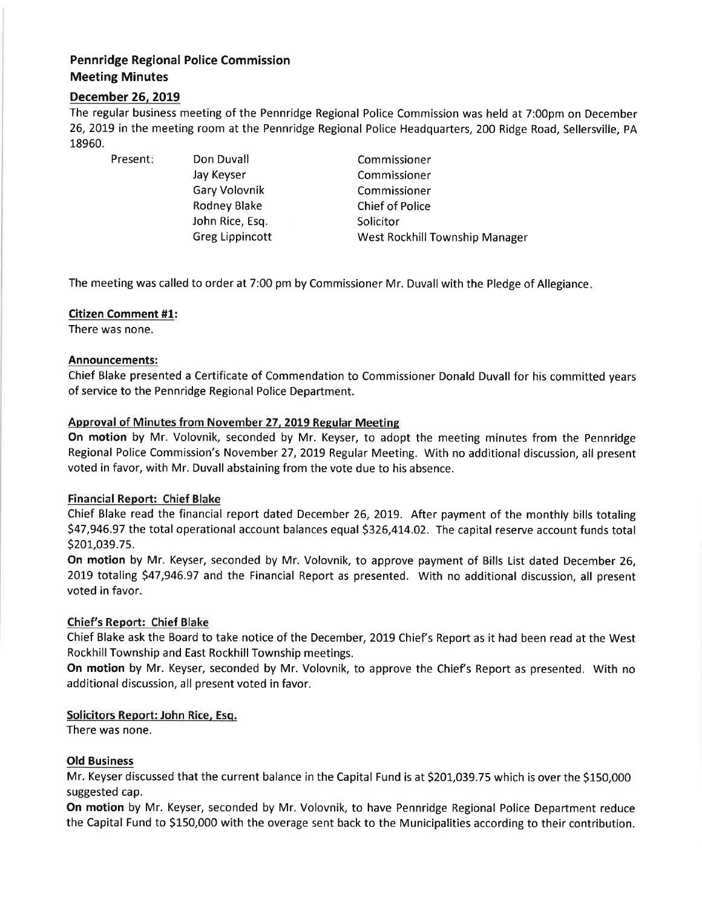# Pennridge Regional Police Commission Meeting Minutes

## December 26, 2019

The regular business meeting of the Pennridge Regional Police Commission was held at 7:00pm on December 26,2019 in the meeting room at the Pennridge Regional Police Headquarters, 200 Ridge Road, Sellersville, PA 18960.

Present: Don Duvall

Jay Keyser Gary Volovnik Rodney Blake John Rice, Esq. Greg Lippincott

Commissioner Commissioner Commissioner Chief of Police **Solicitor** West Rockhill Township Manager

The meeting was called to order at 7:00 pm by Commissioner Mr. Duvall with the Pledge of Allegiance

## Citizen Comment #1:

There was none.

#### Announcements:

Chief Blake presented a Certificate of Commendation to Commissioner Donald Duvall for his committed years of service to the Pennridge Regional Police Department.

#### Approval of Minutes from November 27, 2019 Regular Meeting

On motion by Mr. Volovnik, seconded by Mr. Keyser, to adopt the meeting minutes from the Pennridge Regional Police Commission's November 27, 2019 Regular Meeting. With no additional discussion, all present voted in favor, with Mr. Duvall abstaining from the vote due to his absence.

## Financial Report: Chief Blake

Chief Blake read the financial report dated December 26, 2019. After payment of the monthly bills totaling 547,946.97 the total operational account balances equal \$326,474.02. The capital reserve account funds total S201,039.75.

On motion by Mr. Keyser, seconded by Mr. Volovnik, to approve payment of Bills List dated December 26, 2019 totaling \$47,946.97 and the Financial Report as presented. With no additional discussion, all present voted in favor.

## Chief's Report: Chief Blake

Chief Blake ask the Board to take notice of the December, 2019 Chief's Report as it had been read at the West Rockhill Township and East Rockhill Township meetings.

On motion by Mr. Keyser, seconded by Mr. Volovnik, to approve the Chief's Report as presented. With no additional discussion, all present voted in favor.

## Solicitors Report: John Rice, Esq.

There was none.

## Old Business

Mr. Keyser discussed that the current balance in the Capital Fund is at 5201,039.75 which is over the \$150,000 suggested cap.

On motion by Mr. Keyser, seconded by Mr. Volovnik, to have Pennridge Regional Police Department reduce the Capital Fund to 5150,000 with the overage sent back to the Municipalities according to their contribution.